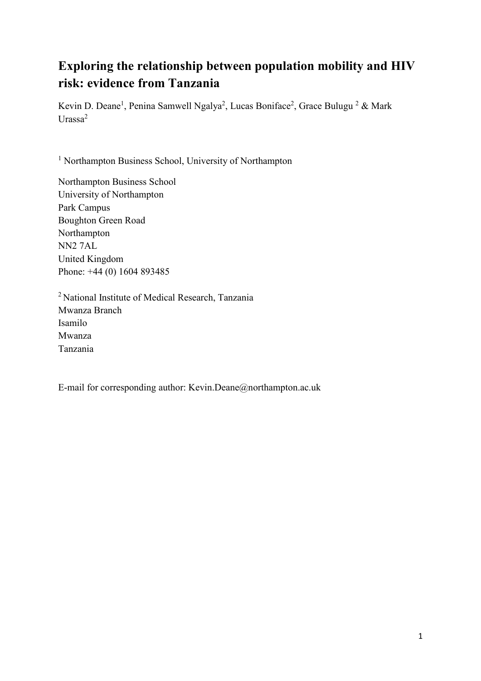# **Exploring the relationship between population mobility and HIV risk: evidence from Tanzania**

Kevin D. Deane<sup>1</sup>, Penina Samwell Ngalya<sup>2</sup>, Lucas Boniface<sup>2</sup>, Grace Bulugu<sup>2</sup> & Mark Urassa<sup>2</sup>

<sup>1</sup> Northampton Business School, University of Northampton

Northampton Business School University of Northampton Park Campus Boughton Green Road Northampton NN2 7AL United Kingdom Phone: +44 (0) 1604 893485

<sup>2</sup> National Institute of Medical Research, Tanzania Mwanza Branch Isamilo Mwanza Tanzania

E-mail for corresponding author: Kevin.Deane@northampton.ac.uk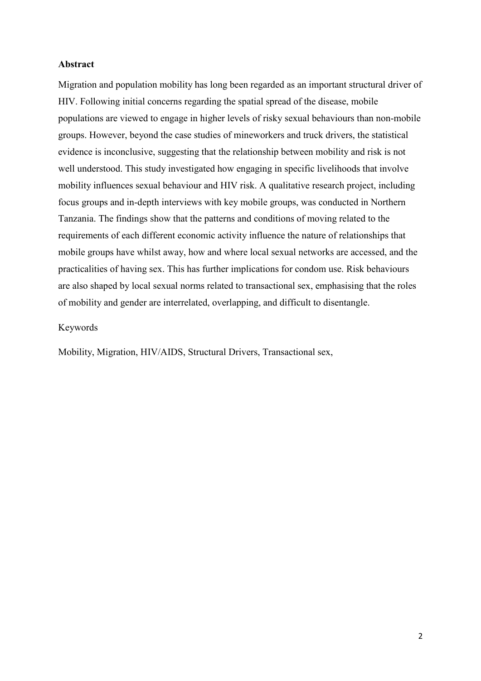## **Abstract**

Migration and population mobility has long been regarded as an important structural driver of HIV. Following initial concerns regarding the spatial spread of the disease, mobile populations are viewed to engage in higher levels of risky sexual behaviours than non-mobile groups. However, beyond the case studies of mineworkers and truck drivers, the statistical evidence is inconclusive, suggesting that the relationship between mobility and risk is not well understood. This study investigated how engaging in specific livelihoods that involve mobility influences sexual behaviour and HIV risk. A qualitative research project, including focus groups and in-depth interviews with key mobile groups, was conducted in Northern Tanzania. The findings show that the patterns and conditions of moving related to the requirements of each different economic activity influence the nature of relationships that mobile groups have whilst away, how and where local sexual networks are accessed, and the practicalities of having sex. This has further implications for condom use. Risk behaviours are also shaped by local sexual norms related to transactional sex, emphasising that the roles of mobility and gender are interrelated, overlapping, and difficult to disentangle.

## Keywords

Mobility, Migration, HIV/AIDS, Structural Drivers, Transactional sex,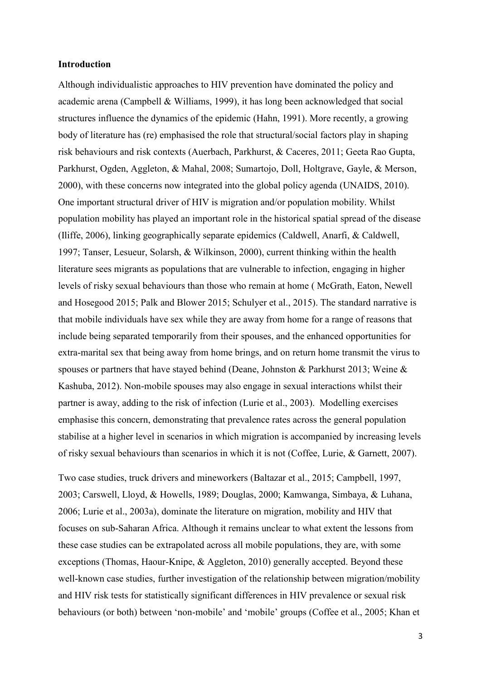#### **Introduction**

Although individualistic approaches to HIV prevention have dominated the policy and academic arena (Campbell & Williams, 1999), it has long been acknowledged that social structures influence the dynamics of the epidemic (Hahn, 1991). More recently, a growing body of literature has (re) emphasised the role that structural/social factors play in shaping risk behaviours and risk contexts (Auerbach, Parkhurst, & Caceres, 2011; Geeta Rao Gupta, Parkhurst, Ogden, Aggleton, & Mahal, 2008; Sumartojo, Doll, Holtgrave, Gayle, & Merson, 2000), with these concerns now integrated into the global policy agenda (UNAIDS, 2010). One important structural driver of HIV is migration and/or population mobility. Whilst population mobility has played an important role in the historical spatial spread of the disease (Iliffe, 2006), linking geographically separate epidemics (Caldwell, Anarfi, & Caldwell, 1997; Tanser, Lesueur, Solarsh, & Wilkinson, 2000), current thinking within the health literature sees migrants as populations that are vulnerable to infection, engaging in higher levels of risky sexual behaviours than those who remain at home ( McGrath, Eaton, Newell and Hosegood 2015; Palk and Blower 2015; Schulyer et al., 2015). The standard narrative is that mobile individuals have sex while they are away from home for a range of reasons that include being separated temporarily from their spouses, and the enhanced opportunities for extra-marital sex that being away from home brings, and on return home transmit the virus to spouses or partners that have stayed behind (Deane, Johnston & Parkhurst 2013; Weine & Kashuba, 2012). Non-mobile spouses may also engage in sexual interactions whilst their partner is away, adding to the risk of infection (Lurie et al., 2003). Modelling exercises emphasise this concern, demonstrating that prevalence rates across the general population stabilise at a higher level in scenarios in which migration is accompanied by increasing levels of risky sexual behaviours than scenarios in which it is not (Coffee, Lurie, & Garnett, 2007).

Two case studies, truck drivers and mineworkers (Baltazar et al., 2015; Campbell, 1997, 2003; Carswell, Lloyd, & Howells, 1989; Douglas, 2000; Kamwanga, Simbaya, & Luhana, 2006; Lurie et al., 2003a), dominate the literature on migration, mobility and HIV that focuses on sub-Saharan Africa. Although it remains unclear to what extent the lessons from these case studies can be extrapolated across all mobile populations, they are, with some exceptions (Thomas, Haour-Knipe, & Aggleton, 2010) generally accepted. Beyond these well-known case studies, further investigation of the relationship between migration/mobility and HIV risk tests for statistically significant differences in HIV prevalence or sexual risk behaviours (or both) between 'non-mobile' and 'mobile' groups (Coffee et al., 2005; Khan et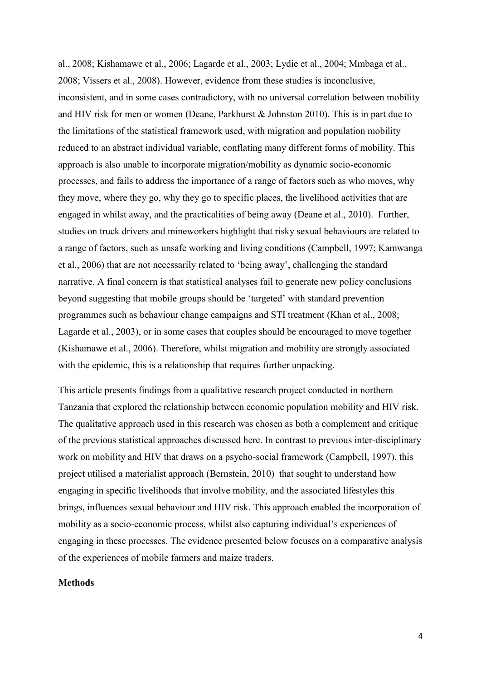al., 2008; Kishamawe et al., 2006; Lagarde et al., 2003; Lydie et al., 2004; Mmbaga et al., 2008; Vissers et al., 2008). However, evidence from these studies is inconclusive, inconsistent, and in some cases contradictory, with no universal correlation between mobility and HIV risk for men or women (Deane, Parkhurst & Johnston 2010). This is in part due to the limitations of the statistical framework used, with migration and population mobility reduced to an abstract individual variable, conflating many different forms of mobility. This approach is also unable to incorporate migration/mobility as dynamic socio-economic processes, and fails to address the importance of a range of factors such as who moves, why they move, where they go, why they go to specific places, the livelihood activities that are engaged in whilst away, and the practicalities of being away (Deane et al., 2010). Further, studies on truck drivers and mineworkers highlight that risky sexual behaviours are related to a range of factors, such as unsafe working and living conditions (Campbell, 1997; Kamwanga et al., 2006) that are not necessarily related to 'being away', challenging the standard narrative. A final concern is that statistical analyses fail to generate new policy conclusions beyond suggesting that mobile groups should be 'targeted' with standard prevention programmes such as behaviour change campaigns and STI treatment (Khan et al., 2008; Lagarde et al., 2003), or in some cases that couples should be encouraged to move together (Kishamawe et al., 2006). Therefore, whilst migration and mobility are strongly associated with the epidemic, this is a relationship that requires further unpacking.

This article presents findings from a qualitative research project conducted in northern Tanzania that explored the relationship between economic population mobility and HIV risk. The qualitative approach used in this research was chosen as both a complement and critique of the previous statistical approaches discussed here. In contrast to previous inter-disciplinary work on mobility and HIV that draws on a psycho-social framework (Campbell, 1997), this project utilised a materialist approach (Bernstein, 2010) that sought to understand how engaging in specific livelihoods that involve mobility, and the associated lifestyles this brings, influences sexual behaviour and HIV risk. This approach enabled the incorporation of mobility as a socio-economic process, whilst also capturing individual's experiences of engaging in these processes. The evidence presented below focuses on a comparative analysis of the experiences of mobile farmers and maize traders.

## **Methods**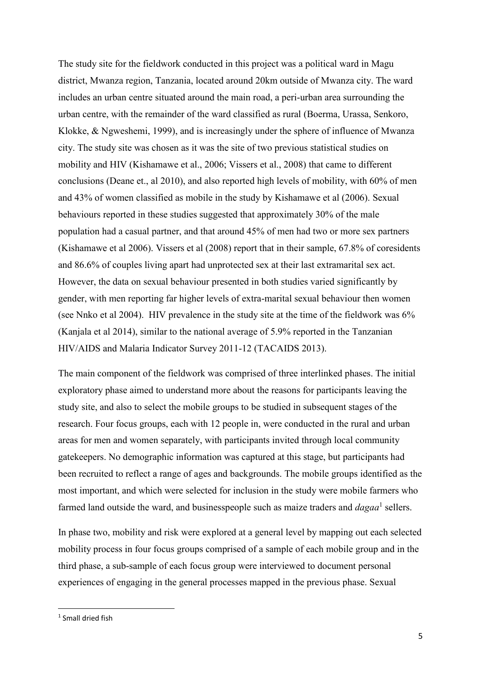The study site for the fieldwork conducted in this project was a political ward in Magu district, Mwanza region, Tanzania, located around 20km outside of Mwanza city. The ward includes an urban centre situated around the main road, a peri-urban area surrounding the urban centre, with the remainder of the ward classified as rural (Boerma, Urassa, Senkoro, Klokke, & Ngweshemi, 1999), and is increasingly under the sphere of influence of Mwanza city. The study site was chosen as it was the site of two previous statistical studies on mobility and HIV (Kishamawe et al., 2006; Vissers et al., 2008) that came to different conclusions (Deane et., al 2010), and also reported high levels of mobility, with 60% of men and 43% of women classified as mobile in the study by Kishamawe et al (2006). Sexual behaviours reported in these studies suggested that approximately 30% of the male population had a casual partner, and that around 45% of men had two or more sex partners (Kishamawe et al 2006). Vissers et al (2008) report that in their sample, 67.8% of coresidents and 86.6% of couples living apart had unprotected sex at their last extramarital sex act. However, the data on sexual behaviour presented in both studies varied significantly by gender, with men reporting far higher levels of extra-marital sexual behaviour then women (see Nnko et al 2004). HIV prevalence in the study site at the time of the fieldwork was 6% (Kanjala et al 2014), similar to the national average of 5.9% reported in the Tanzanian HIV/AIDS and Malaria Indicator Survey 2011-12 (TACAIDS 2013).

The main component of the fieldwork was comprised of three interlinked phases. The initial exploratory phase aimed to understand more about the reasons for participants leaving the study site, and also to select the mobile groups to be studied in subsequent stages of the research. Four focus groups, each with 12 people in, were conducted in the rural and urban areas for men and women separately, with participants invited through local community gatekeepers. No demographic information was captured at this stage, but participants had been recruited to reflect a range of ages and backgrounds. The mobile groups identified as the most important, and which were selected for inclusion in the study were mobile farmers who farmed land outside the ward, and businesspeople such as maize traders and *dagaa*<sup>1</sup> sellers.

In phase two, mobility and risk were explored at a general level by mapping out each selected mobility process in four focus groups comprised of a sample of each mobile group and in the third phase, a sub-sample of each focus group were interviewed to document personal experiences of engaging in the general processes mapped in the previous phase. Sexual

**.** 

<sup>1</sup> Small dried fish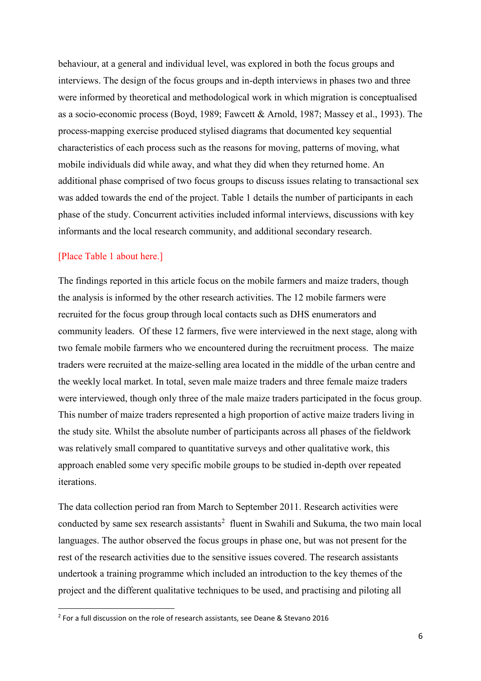behaviour, at a general and individual level, was explored in both the focus groups and interviews. The design of the focus groups and in-depth interviews in phases two and three were informed by theoretical and methodological work in which migration is conceptualised as a socio-economic process (Boyd, 1989; Fawcett & Arnold, 1987; Massey et al., 1993). The process-mapping exercise produced stylised diagrams that documented key sequential characteristics of each process such as the reasons for moving, patterns of moving, what mobile individuals did while away, and what they did when they returned home. An additional phase comprised of two focus groups to discuss issues relating to transactional sex was added towards the end of the project. Table 1 details the number of participants in each phase of the study. Concurrent activities included informal interviews, discussions with key informants and the local research community, and additional secondary research.

# [Place Table 1 about here.]

The findings reported in this article focus on the mobile farmers and maize traders, though the analysis is informed by the other research activities. The 12 mobile farmers were recruited for the focus group through local contacts such as DHS enumerators and community leaders. Of these 12 farmers, five were interviewed in the next stage, along with two female mobile farmers who we encountered during the recruitment process. The maize traders were recruited at the maize-selling area located in the middle of the urban centre and the weekly local market. In total, seven male maize traders and three female maize traders were interviewed, though only three of the male maize traders participated in the focus group. This number of maize traders represented a high proportion of active maize traders living in the study site. Whilst the absolute number of participants across all phases of the fieldwork was relatively small compared to quantitative surveys and other qualitative work, this approach enabled some very specific mobile groups to be studied in-depth over repeated iterations.

The data collection period ran from March to September 2011. Research activities were conducted by same sex research assistants<sup>2</sup> fluent in Swahili and Sukuma, the two main local languages. The author observed the focus groups in phase one, but was not present for the rest of the research activities due to the sensitive issues covered. The research assistants undertook a training programme which included an introduction to the key themes of the project and the different qualitative techniques to be used, and practising and piloting all

 2 For a full discussion on the role of research assistants, see Deane & Stevano 2016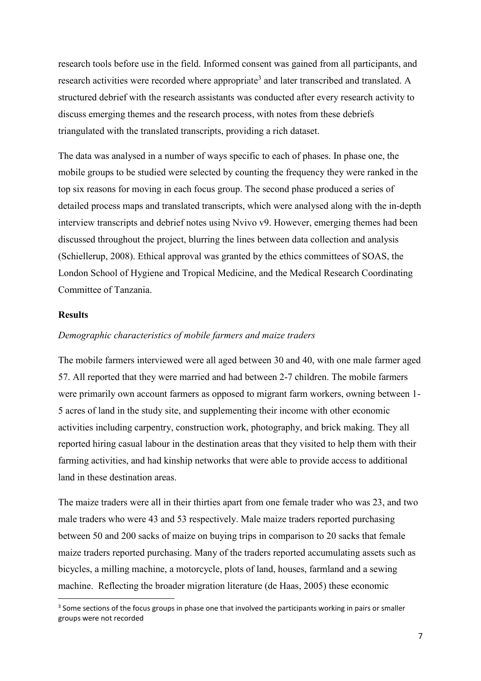research tools before use in the field. Informed consent was gained from all participants, and research activities were recorded where appropriate<sup>3</sup> and later transcribed and translated. A structured debrief with the research assistants was conducted after every research activity to discuss emerging themes and the research process, with notes from these debriefs triangulated with the translated transcripts, providing a rich dataset.

The data was analysed in a number of ways specific to each of phases. In phase one, the mobile groups to be studied were selected by counting the frequency they were ranked in the top six reasons for moving in each focus group. The second phase produced a series of detailed process maps and translated transcripts, which were analysed along with the in-depth interview transcripts and debrief notes using Nvivo v9. However, emerging themes had been discussed throughout the project, blurring the lines between data collection and analysis (Schiellerup, 2008). Ethical approval was granted by the ethics committees of SOAS, the London School of Hygiene and Tropical Medicine, and the Medical Research Coordinating Committee of Tanzania.

# **Results**

1

## *Demographic characteristics of mobile farmers and maize traders*

The mobile farmers interviewed were all aged between 30 and 40, with one male farmer aged 57. All reported that they were married and had between 2-7 children. The mobile farmers were primarily own account farmers as opposed to migrant farm workers, owning between 1- 5 acres of land in the study site, and supplementing their income with other economic activities including carpentry, construction work, photography, and brick making. They all reported hiring casual labour in the destination areas that they visited to help them with their farming activities, and had kinship networks that were able to provide access to additional land in these destination areas.

The maize traders were all in their thirties apart from one female trader who was 23, and two male traders who were 43 and 53 respectively. Male maize traders reported purchasing between 50 and 200 sacks of maize on buying trips in comparison to 20 sacks that female maize traders reported purchasing. Many of the traders reported accumulating assets such as bicycles, a milling machine, a motorcycle, plots of land, houses, farmland and a sewing machine. Reflecting the broader migration literature (de Haas, 2005) these economic

<sup>&</sup>lt;sup>3</sup> Some sections of the focus groups in phase one that involved the participants working in pairs or smaller groups were not recorded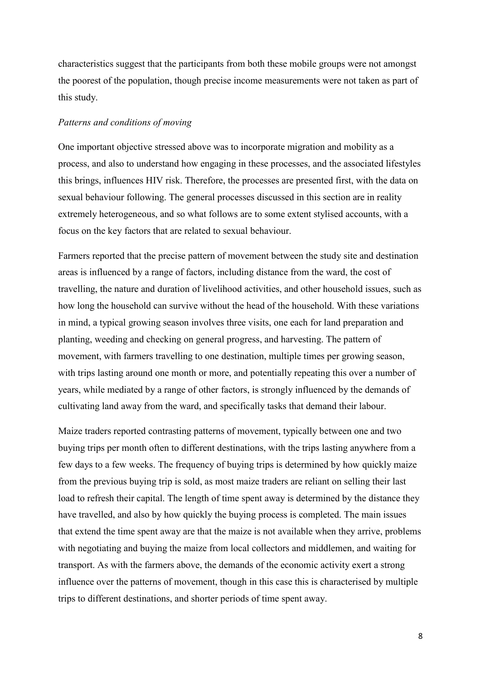characteristics suggest that the participants from both these mobile groups were not amongst the poorest of the population, though precise income measurements were not taken as part of this study.

## *Patterns and conditions of moving*

One important objective stressed above was to incorporate migration and mobility as a process, and also to understand how engaging in these processes, and the associated lifestyles this brings, influences HIV risk. Therefore, the processes are presented first, with the data on sexual behaviour following. The general processes discussed in this section are in reality extremely heterogeneous, and so what follows are to some extent stylised accounts, with a focus on the key factors that are related to sexual behaviour.

Farmers reported that the precise pattern of movement between the study site and destination areas is influenced by a range of factors, including distance from the ward, the cost of travelling, the nature and duration of livelihood activities, and other household issues, such as how long the household can survive without the head of the household. With these variations in mind, a typical growing season involves three visits, one each for land preparation and planting, weeding and checking on general progress, and harvesting. The pattern of movement, with farmers travelling to one destination, multiple times per growing season, with trips lasting around one month or more, and potentially repeating this over a number of years, while mediated by a range of other factors, is strongly influenced by the demands of cultivating land away from the ward, and specifically tasks that demand their labour.

Maize traders reported contrasting patterns of movement, typically between one and two buying trips per month often to different destinations, with the trips lasting anywhere from a few days to a few weeks. The frequency of buying trips is determined by how quickly maize from the previous buying trip is sold, as most maize traders are reliant on selling their last load to refresh their capital. The length of time spent away is determined by the distance they have travelled, and also by how quickly the buying process is completed. The main issues that extend the time spent away are that the maize is not available when they arrive, problems with negotiating and buying the maize from local collectors and middlemen, and waiting for transport. As with the farmers above, the demands of the economic activity exert a strong influence over the patterns of movement, though in this case this is characterised by multiple trips to different destinations, and shorter periods of time spent away.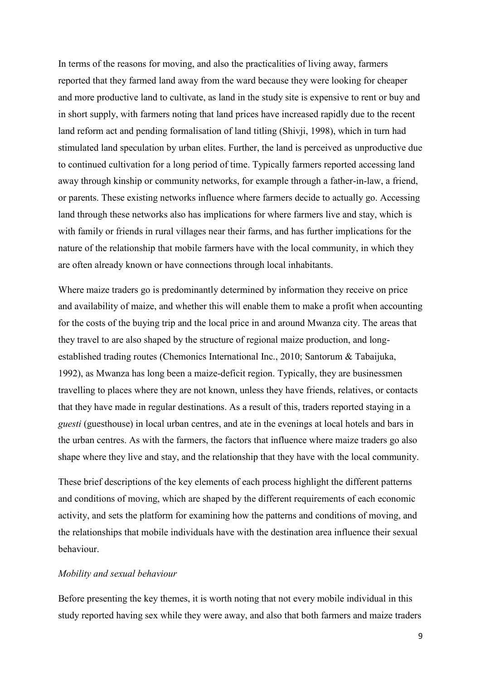In terms of the reasons for moving, and also the practicalities of living away, farmers reported that they farmed land away from the ward because they were looking for cheaper and more productive land to cultivate, as land in the study site is expensive to rent or buy and in short supply, with farmers noting that land prices have increased rapidly due to the recent land reform act and pending formalisation of land titling (Shivji, 1998), which in turn had stimulated land speculation by urban elites. Further, the land is perceived as unproductive due to continued cultivation for a long period of time. Typically farmers reported accessing land away through kinship or community networks, for example through a father-in-law, a friend, or parents. These existing networks influence where farmers decide to actually go. Accessing land through these networks also has implications for where farmers live and stay, which is with family or friends in rural villages near their farms, and has further implications for the nature of the relationship that mobile farmers have with the local community, in which they are often already known or have connections through local inhabitants.

Where maize traders go is predominantly determined by information they receive on price and availability of maize, and whether this will enable them to make a profit when accounting for the costs of the buying trip and the local price in and around Mwanza city. The areas that they travel to are also shaped by the structure of regional maize production, and longestablished trading routes (Chemonics International Inc., 2010; Santorum & Tabaijuka, 1992), as Mwanza has long been a maize-deficit region. Typically, they are businessmen travelling to places where they are not known, unless they have friends, relatives, or contacts that they have made in regular destinations. As a result of this, traders reported staying in a *guesti* (guesthouse) in local urban centres, and ate in the evenings at local hotels and bars in the urban centres. As with the farmers, the factors that influence where maize traders go also shape where they live and stay, and the relationship that they have with the local community.

These brief descriptions of the key elements of each process highlight the different patterns and conditions of moving, which are shaped by the different requirements of each economic activity, and sets the platform for examining how the patterns and conditions of moving, and the relationships that mobile individuals have with the destination area influence their sexual behaviour.

## *Mobility and sexual behaviour*

Before presenting the key themes, it is worth noting that not every mobile individual in this study reported having sex while they were away, and also that both farmers and maize traders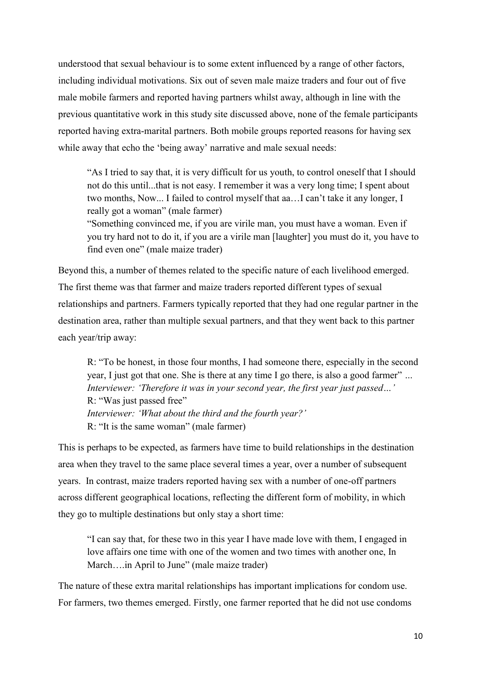understood that sexual behaviour is to some extent influenced by a range of other factors, including individual motivations. Six out of seven male maize traders and four out of five male mobile farmers and reported having partners whilst away, although in line with the previous quantitative work in this study site discussed above, none of the female participants reported having extra-marital partners. Both mobile groups reported reasons for having sex while away that echo the 'being away' narrative and male sexual needs:

"As I tried to say that, it is very difficult for us youth, to control oneself that I should not do this until...that is not easy. I remember it was a very long time; I spent about two months, Now... I failed to control myself that aa…I can't take it any longer, I really got a woman" (male farmer)

"Something convinced me, if you are virile man, you must have a woman. Even if you try hard not to do it, if you are a virile man [laughter] you must do it, you have to find even one" (male maize trader)

Beyond this, a number of themes related to the specific nature of each livelihood emerged. The first theme was that farmer and maize traders reported different types of sexual relationships and partners. Farmers typically reported that they had one regular partner in the destination area, rather than multiple sexual partners, and that they went back to this partner each year/trip away:

R: "To be honest, in those four months, I had someone there, especially in the second year, I just got that one. She is there at any time I go there, is also a good farmer" *… Interviewer: 'Therefore it was in your second year, the first year just passed…'* R: "Was just passed free" *Interviewer: 'What about the third and the fourth year?'* R: "It is the same woman" (male farmer)

This is perhaps to be expected, as farmers have time to build relationships in the destination area when they travel to the same place several times a year, over a number of subsequent years. In contrast, maize traders reported having sex with a number of one-off partners across different geographical locations, reflecting the different form of mobility, in which they go to multiple destinations but only stay a short time:

"I can say that, for these two in this year I have made love with them, I engaged in love affairs one time with one of the women and two times with another one, In March….in April to June" (male maize trader)

The nature of these extra marital relationships has important implications for condom use. For farmers, two themes emerged. Firstly, one farmer reported that he did not use condoms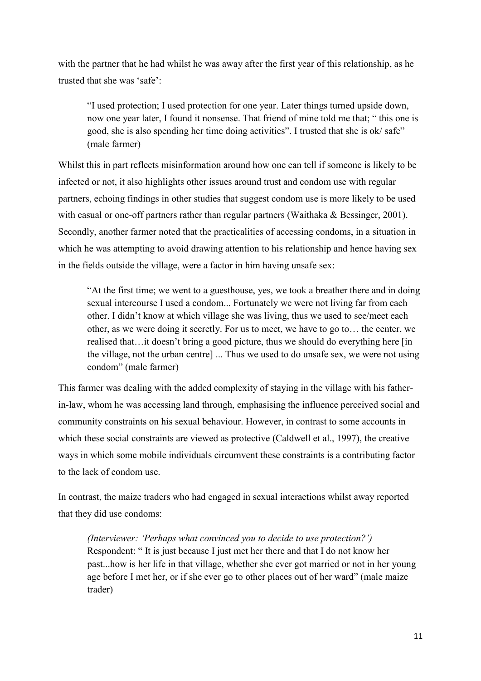with the partner that he had whilst he was away after the first year of this relationship, as he trusted that she was 'safe':

"I used protection; I used protection for one year. Later things turned upside down, now one year later, I found it nonsense. That friend of mine told me that; " this one is good, she is also spending her time doing activities". I trusted that she is ok/ safe" (male farmer)

Whilst this in part reflects misinformation around how one can tell if someone is likely to be infected or not, it also highlights other issues around trust and condom use with regular partners, echoing findings in other studies that suggest condom use is more likely to be used with casual or one-off partners rather than regular partners (Waithaka & Bessinger, 2001). Secondly, another farmer noted that the practicalities of accessing condoms, in a situation in which he was attempting to avoid drawing attention to his relationship and hence having sex in the fields outside the village, were a factor in him having unsafe sex:

"At the first time; we went to a guesthouse, yes, we took a breather there and in doing sexual intercourse I used a condom... Fortunately we were not living far from each other. I didn't know at which village she was living, thus we used to see/meet each other, as we were doing it secretly. For us to meet, we have to go to… the center, we realised that…it doesn't bring a good picture, thus we should do everything here [in the village, not the urban centre] ... Thus we used to do unsafe sex, we were not using condom" (male farmer)

This farmer was dealing with the added complexity of staying in the village with his fatherin-law, whom he was accessing land through, emphasising the influence perceived social and community constraints on his sexual behaviour. However, in contrast to some accounts in which these social constraints are viewed as protective (Caldwell et al., 1997), the creative ways in which some mobile individuals circumvent these constraints is a contributing factor to the lack of condom use.

In contrast, the maize traders who had engaged in sexual interactions whilst away reported that they did use condoms:

*(Interviewer: 'Perhaps what convinced you to decide to use protection?')* Respondent: " It is just because I just met her there and that I do not know her past...how is her life in that village, whether she ever got married or not in her young age before I met her, or if she ever go to other places out of her ward" (male maize trader)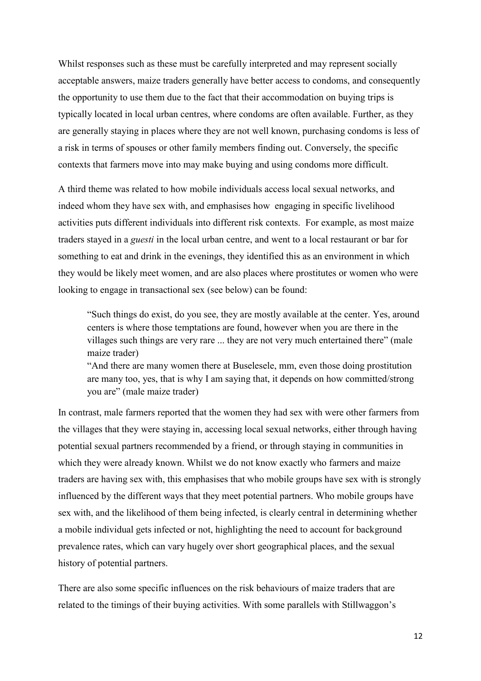Whilst responses such as these must be carefully interpreted and may represent socially acceptable answers, maize traders generally have better access to condoms, and consequently the opportunity to use them due to the fact that their accommodation on buying trips is typically located in local urban centres, where condoms are often available. Further, as they are generally staying in places where they are not well known, purchasing condoms is less of a risk in terms of spouses or other family members finding out. Conversely, the specific contexts that farmers move into may make buying and using condoms more difficult.

A third theme was related to how mobile individuals access local sexual networks, and indeed whom they have sex with, and emphasises how engaging in specific livelihood activities puts different individuals into different risk contexts. For example, as most maize traders stayed in a *guesti* in the local urban centre, and went to a local restaurant or bar for something to eat and drink in the evenings, they identified this as an environment in which they would be likely meet women, and are also places where prostitutes or women who were looking to engage in transactional sex (see below) can be found:

"Such things do exist, do you see, they are mostly available at the center. Yes, around centers is where those temptations are found, however when you are there in the villages such things are very rare ... they are not very much entertained there" (male maize trader)

"And there are many women there at Buselesele, mm, even those doing prostitution are many too, yes, that is why I am saying that, it depends on how committed/strong you are" (male maize trader)

In contrast, male farmers reported that the women they had sex with were other farmers from the villages that they were staying in, accessing local sexual networks, either through having potential sexual partners recommended by a friend, or through staying in communities in which they were already known. Whilst we do not know exactly who farmers and maize traders are having sex with, this emphasises that who mobile groups have sex with is strongly influenced by the different ways that they meet potential partners. Who mobile groups have sex with, and the likelihood of them being infected, is clearly central in determining whether a mobile individual gets infected or not, highlighting the need to account for background prevalence rates, which can vary hugely over short geographical places, and the sexual history of potential partners.

There are also some specific influences on the risk behaviours of maize traders that are related to the timings of their buying activities. With some parallels with Stillwaggon's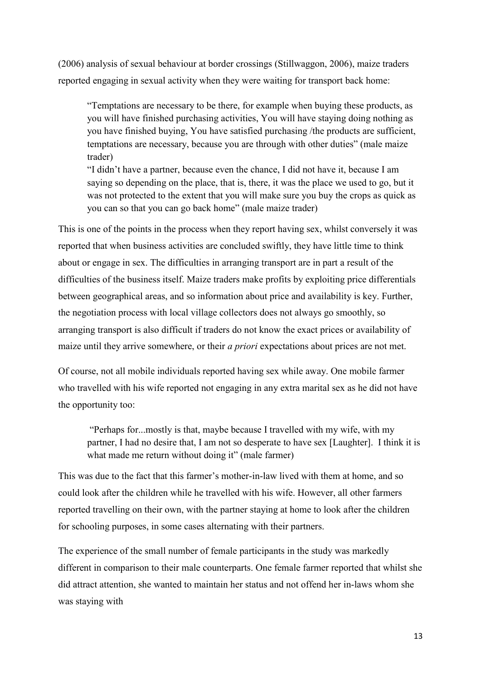(2006) analysis of sexual behaviour at border crossings (Stillwaggon, 2006), maize traders reported engaging in sexual activity when they were waiting for transport back home:

"Temptations are necessary to be there, for example when buying these products, as you will have finished purchasing activities, You will have staying doing nothing as you have finished buying, You have satisfied purchasing /the products are sufficient, temptations are necessary, because you are through with other duties" (male maize trader)

"I didn't have a partner, because even the chance, I did not have it, because I am saying so depending on the place, that is, there, it was the place we used to go, but it was not protected to the extent that you will make sure you buy the crops as quick as you can so that you can go back home" (male maize trader)

This is one of the points in the process when they report having sex, whilst conversely it was reported that when business activities are concluded swiftly, they have little time to think about or engage in sex. The difficulties in arranging transport are in part a result of the difficulties of the business itself. Maize traders make profits by exploiting price differentials between geographical areas, and so information about price and availability is key. Further, the negotiation process with local village collectors does not always go smoothly, so arranging transport is also difficult if traders do not know the exact prices or availability of maize until they arrive somewhere, or their *a priori* expectations about prices are not met.

Of course, not all mobile individuals reported having sex while away. One mobile farmer who travelled with his wife reported not engaging in any extra marital sex as he did not have the opportunity too:

"Perhaps for...mostly is that, maybe because I travelled with my wife, with my partner, I had no desire that, I am not so desperate to have sex [Laughter]. I think it is what made me return without doing it" (male farmer)

This was due to the fact that this farmer's mother-in-law lived with them at home, and so could look after the children while he travelled with his wife. However, all other farmers reported travelling on their own, with the partner staying at home to look after the children for schooling purposes, in some cases alternating with their partners.

The experience of the small number of female participants in the study was markedly different in comparison to their male counterparts. One female farmer reported that whilst she did attract attention, she wanted to maintain her status and not offend her in-laws whom she was staying with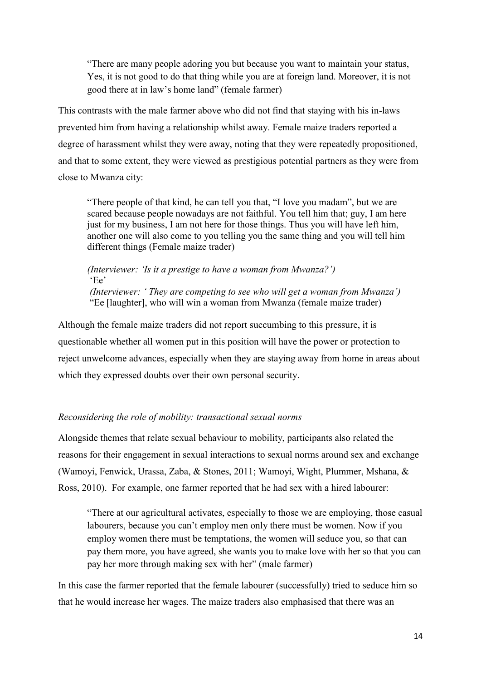"There are many people adoring you but because you want to maintain your status, Yes, it is not good to do that thing while you are at foreign land. Moreover, it is not good there at in law's home land" (female farmer)

This contrasts with the male farmer above who did not find that staying with his in-laws prevented him from having a relationship whilst away. Female maize traders reported a degree of harassment whilst they were away, noting that they were repeatedly propositioned, and that to some extent, they were viewed as prestigious potential partners as they were from close to Mwanza city:

"There people of that kind, he can tell you that, "I love you madam", but we are scared because people nowadays are not faithful. You tell him that; guy, I am here just for my business, I am not here for those things. Thus you will have left him, another one will also come to you telling you the same thing and you will tell him different things (Female maize trader)

*(Interviewer: 'Is it a prestige to have a woman from Mwanza?')* 'Ee' *(Interviewer: ' They are competing to see who will get a woman from Mwanza')* "Ee [laughter], who will win a woman from Mwanza (female maize trader)

Although the female maize traders did not report succumbing to this pressure, it is questionable whether all women put in this position will have the power or protection to reject unwelcome advances, especially when they are staying away from home in areas about which they expressed doubts over their own personal security.

# *Reconsidering the role of mobility: transactional sexual norms*

Alongside themes that relate sexual behaviour to mobility, participants also related the reasons for their engagement in sexual interactions to sexual norms around sex and exchange (Wamoyi, Fenwick, Urassa, Zaba, & Stones, 2011; Wamoyi, Wight, Plummer, Mshana, & Ross, 2010). For example, one farmer reported that he had sex with a hired labourer:

"There at our agricultural activates, especially to those we are employing, those casual labourers, because you can't employ men only there must be women. Now if you employ women there must be temptations, the women will seduce you, so that can pay them more, you have agreed, she wants you to make love with her so that you can pay her more through making sex with her" (male farmer)

In this case the farmer reported that the female labourer (successfully) tried to seduce him so that he would increase her wages. The maize traders also emphasised that there was an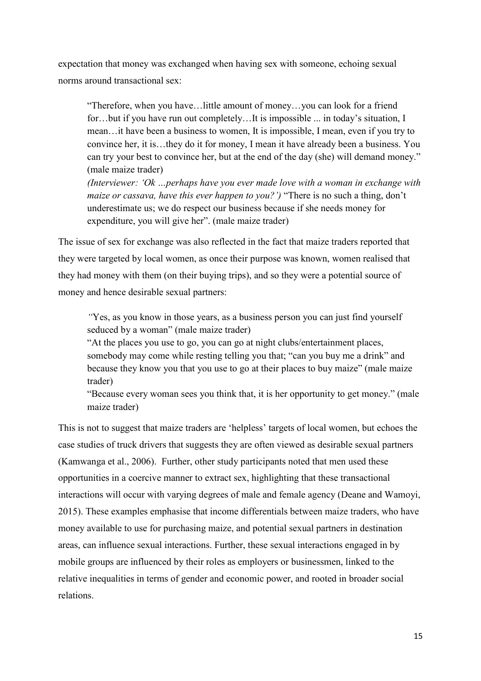expectation that money was exchanged when having sex with someone, echoing sexual norms around transactional sex:

"Therefore, when you have…little amount of money…you can look for a friend for…but if you have run out completely…It is impossible ... in today's situation, I mean…it have been a business to women, It is impossible, I mean, even if you try to convince her, it is…they do it for money, I mean it have already been a business. You can try your best to convince her, but at the end of the day (she) will demand money." (male maize trader)

*(Interviewer: 'Ok …perhaps have you ever made love with a woman in exchange with maize or cassava, have this ever happen to you?')* "There is no such a thing, don't underestimate us; we do respect our business because if she needs money for expenditure, you will give her". (male maize trader)

The issue of sex for exchange was also reflected in the fact that maize traders reported that they were targeted by local women, as once their purpose was known, women realised that they had money with them (on their buying trips), and so they were a potential source of money and hence desirable sexual partners:

*"*Yes, as you know in those years, as a business person you can just find yourself seduced by a woman" (male maize trader)

"At the places you use to go, you can go at night clubs/entertainment places, somebody may come while resting telling you that; "can you buy me a drink" and because they know you that you use to go at their places to buy maize" (male maize trader)

"Because every woman sees you think that, it is her opportunity to get money." (male maize trader)

This is not to suggest that maize traders are 'helpless' targets of local women, but echoes the case studies of truck drivers that suggests they are often viewed as desirable sexual partners (Kamwanga et al., 2006). Further, other study participants noted that men used these opportunities in a coercive manner to extract sex, highlighting that these transactional interactions will occur with varying degrees of male and female agency (Deane and Wamoyi, 2015). These examples emphasise that income differentials between maize traders, who have money available to use for purchasing maize, and potential sexual partners in destination areas, can influence sexual interactions. Further, these sexual interactions engaged in by mobile groups are influenced by their roles as employers or businessmen, linked to the relative inequalities in terms of gender and economic power, and rooted in broader social relations.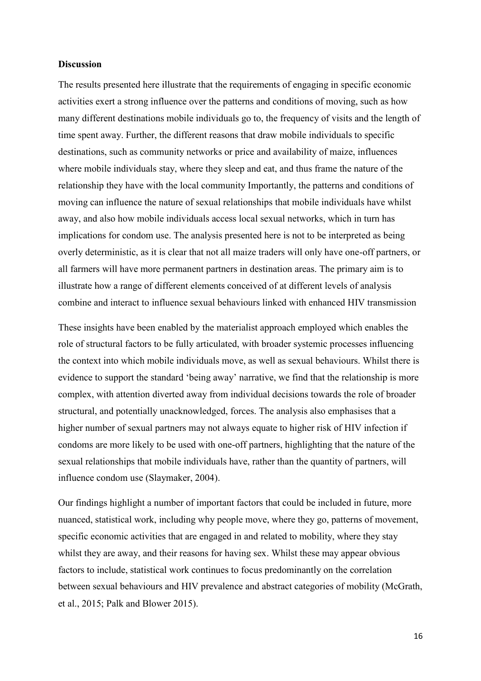### **Discussion**

The results presented here illustrate that the requirements of engaging in specific economic activities exert a strong influence over the patterns and conditions of moving, such as how many different destinations mobile individuals go to, the frequency of visits and the length of time spent away. Further, the different reasons that draw mobile individuals to specific destinations, such as community networks or price and availability of maize, influences where mobile individuals stay, where they sleep and eat, and thus frame the nature of the relationship they have with the local community Importantly, the patterns and conditions of moving can influence the nature of sexual relationships that mobile individuals have whilst away, and also how mobile individuals access local sexual networks, which in turn has implications for condom use. The analysis presented here is not to be interpreted as being overly deterministic, as it is clear that not all maize traders will only have one-off partners, or all farmers will have more permanent partners in destination areas. The primary aim is to illustrate how a range of different elements conceived of at different levels of analysis combine and interact to influence sexual behaviours linked with enhanced HIV transmission

These insights have been enabled by the materialist approach employed which enables the role of structural factors to be fully articulated, with broader systemic processes influencing the context into which mobile individuals move, as well as sexual behaviours. Whilst there is evidence to support the standard 'being away' narrative, we find that the relationship is more complex, with attention diverted away from individual decisions towards the role of broader structural, and potentially unacknowledged, forces. The analysis also emphasises that a higher number of sexual partners may not always equate to higher risk of HIV infection if condoms are more likely to be used with one-off partners, highlighting that the nature of the sexual relationships that mobile individuals have, rather than the quantity of partners, will influence condom use (Slaymaker, 2004).

Our findings highlight a number of important factors that could be included in future, more nuanced, statistical work, including why people move, where they go, patterns of movement, specific economic activities that are engaged in and related to mobility, where they stay whilst they are away, and their reasons for having sex. Whilst these may appear obvious factors to include, statistical work continues to focus predominantly on the correlation between sexual behaviours and HIV prevalence and abstract categories of mobility (McGrath, et al., 2015; Palk and Blower 2015).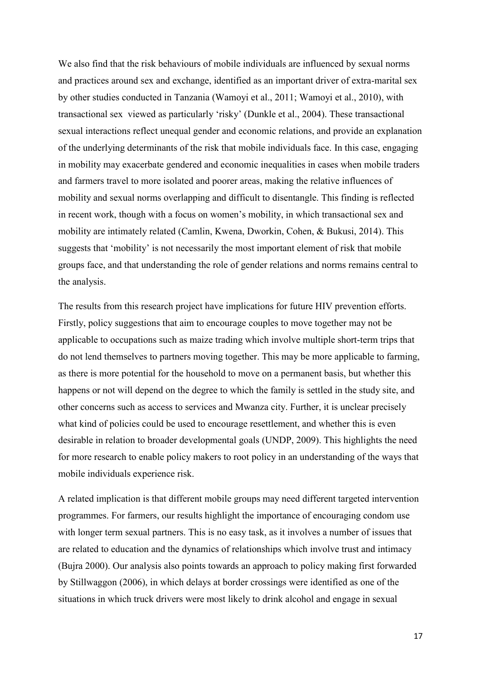We also find that the risk behaviours of mobile individuals are influenced by sexual norms and practices around sex and exchange, identified as an important driver of extra-marital sex by other studies conducted in Tanzania (Wamoyi et al., 2011; Wamoyi et al., 2010), with transactional sex viewed as particularly 'risky' (Dunkle et al., 2004). These transactional sexual interactions reflect unequal gender and economic relations, and provide an explanation of the underlying determinants of the risk that mobile individuals face. In this case, engaging in mobility may exacerbate gendered and economic inequalities in cases when mobile traders and farmers travel to more isolated and poorer areas, making the relative influences of mobility and sexual norms overlapping and difficult to disentangle. This finding is reflected in recent work, though with a focus on women's mobility, in which transactional sex and mobility are intimately related (Camlin, Kwena, Dworkin, Cohen, & Bukusi, 2014). This suggests that 'mobility' is not necessarily the most important element of risk that mobile groups face, and that understanding the role of gender relations and norms remains central to the analysis.

The results from this research project have implications for future HIV prevention efforts. Firstly, policy suggestions that aim to encourage couples to move together may not be applicable to occupations such as maize trading which involve multiple short-term trips that do not lend themselves to partners moving together. This may be more applicable to farming, as there is more potential for the household to move on a permanent basis, but whether this happens or not will depend on the degree to which the family is settled in the study site, and other concerns such as access to services and Mwanza city. Further, it is unclear precisely what kind of policies could be used to encourage resettlement, and whether this is even desirable in relation to broader developmental goals (UNDP, 2009). This highlights the need for more research to enable policy makers to root policy in an understanding of the ways that mobile individuals experience risk.

A related implication is that different mobile groups may need different targeted intervention programmes. For farmers, our results highlight the importance of encouraging condom use with longer term sexual partners. This is no easy task, as it involves a number of issues that are related to education and the dynamics of relationships which involve trust and intimacy (Bujra 2000). Our analysis also points towards an approach to policy making first forwarded by Stillwaggon (2006), in which delays at border crossings were identified as one of the situations in which truck drivers were most likely to drink alcohol and engage in sexual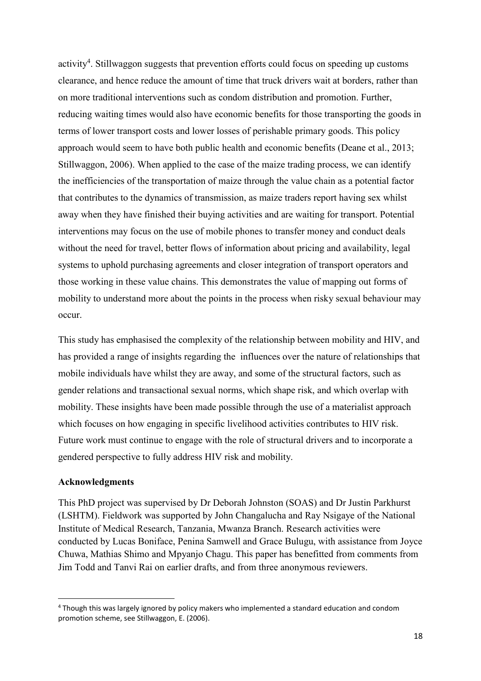activity<sup>4</sup>. Stillwaggon suggests that prevention efforts could focus on speeding up customs clearance, and hence reduce the amount of time that truck drivers wait at borders, rather than on more traditional interventions such as condom distribution and promotion. Further, reducing waiting times would also have economic benefits for those transporting the goods in terms of lower transport costs and lower losses of perishable primary goods. This policy approach would seem to have both public health and economic benefits (Deane et al., 2013; Stillwaggon, 2006). When applied to the case of the maize trading process, we can identify the inefficiencies of the transportation of maize through the value chain as a potential factor that contributes to the dynamics of transmission, as maize traders report having sex whilst away when they have finished their buying activities and are waiting for transport. Potential interventions may focus on the use of mobile phones to transfer money and conduct deals without the need for travel, better flows of information about pricing and availability, legal systems to uphold purchasing agreements and closer integration of transport operators and those working in these value chains. This demonstrates the value of mapping out forms of mobility to understand more about the points in the process when risky sexual behaviour may occur.

This study has emphasised the complexity of the relationship between mobility and HIV, and has provided a range of insights regarding the influences over the nature of relationships that mobile individuals have whilst they are away, and some of the structural factors, such as gender relations and transactional sexual norms, which shape risk, and which overlap with mobility. These insights have been made possible through the use of a materialist approach which focuses on how engaging in specific livelihood activities contributes to HIV risk. Future work must continue to engage with the role of structural drivers and to incorporate a gendered perspective to fully address HIV risk and mobility.

# **Acknowledgments**

1

This PhD project was supervised by Dr Deborah Johnston (SOAS) and Dr Justin Parkhurst (LSHTM). Fieldwork was supported by John Changalucha and Ray Nsigaye of the National Institute of Medical Research, Tanzania, Mwanza Branch. Research activities were conducted by Lucas Boniface, Penina Samwell and Grace Bulugu, with assistance from Joyce Chuwa, Mathias Shimo and Mpyanjo Chagu. This paper has benefitted from comments from Jim Todd and Tanvi Rai on earlier drafts, and from three anonymous reviewers.

<sup>4</sup> Though this was largely ignored by policy makers who implemented a standard education and condom promotion scheme, see Stillwaggon, E. (2006).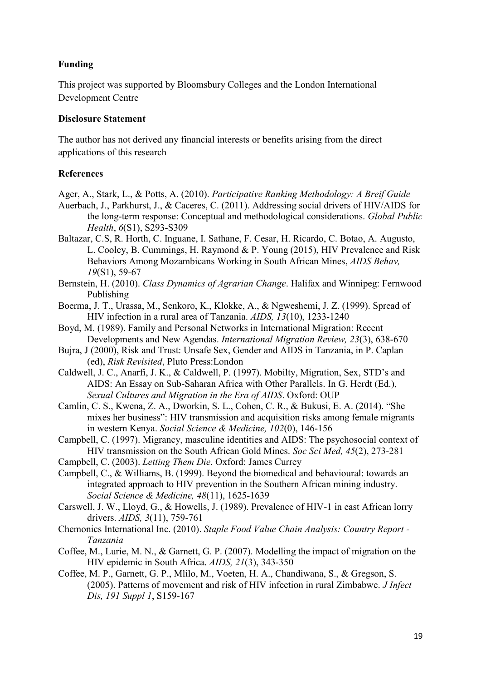# **Funding**

This project was supported by Bloomsbury Colleges and the London International Development Centre

## **Disclosure Statement**

The author has not derived any financial interests or benefits arising from the direct applications of this research

# **References**

Ager, A., Stark, L., & Potts, A. (2010). *Participative Ranking Methodology: A Breif Guide*

- Auerbach, J., Parkhurst, J., & Caceres, C. (2011). Addressing social drivers of HIV/AIDS for the long-term response: Conceptual and methodological considerations. *Global Public Health*, *6*(S1), S293-S309
- Baltazar, C.S, R. Horth, C. Inguane, I. Sathane, F. Cesar, H. Ricardo, C. Botao, A. Augusto, L. Cooley, B. Cummings, H. Raymond & P. Young (2015), HIV Prevalence and Risk Behaviors Among Mozambicans Working in South African Mines, *AIDS Behav, 19*(S1), 59-67
- Bernstein, H. (2010). *Class Dynamics of Agrarian Change*. Halifax and Winnipeg: Fernwood Publishing
- Boerma, J. T., Urassa, M., Senkoro, K., Klokke, A., & Ngweshemi, J. Z. (1999). Spread of HIV infection in a rural area of Tanzania. *AIDS, 13*(10), 1233-1240
- Boyd, M. (1989). Family and Personal Networks in International Migration: Recent Developments and New Agendas. *International Migration Review, 23*(3), 638-670
- Bujra, J (2000), Risk and Trust: Unsafe Sex, Gender and AIDS in Tanzania, in P. Caplan (ed), *Risk Revisited*, Pluto Press:London
- Caldwell, J. C., Anarfi, J. K., & Caldwell, P. (1997). Mobilty, Migration, Sex, STD's and AIDS: An Essay on Sub-Saharan Africa with Other Parallels. In G. Herdt (Ed.), *Sexual Cultures and Migration in the Era of AIDS*. Oxford: OUP
- Camlin, C. S., Kwena, Z. A., Dworkin, S. L., Cohen, C. R., & Bukusi, E. A. (2014). "She mixes her business": HIV transmission and acquisition risks among female migrants in western Kenya. *Social Science & Medicine, 102*(0), 146-156
- Campbell, C. (1997). Migrancy, masculine identities and AIDS: The psychosocial context of HIV transmission on the South African Gold Mines. *Soc Sci Med, 45*(2), 273-281
- Campbell, C. (2003). *Letting Them Die*. Oxford: James Currey
- Campbell, C., & Williams, B. (1999). Beyond the biomedical and behavioural: towards an integrated approach to HIV prevention in the Southern African mining industry. *Social Science & Medicine, 48*(11), 1625-1639
- Carswell, J. W., Lloyd, G., & Howells, J. (1989). Prevalence of HIV-1 in east African lorry drivers. *AIDS, 3*(11), 759-761
- Chemonics International Inc. (2010). *Staple Food Value Chain Analysis: Country Report - Tanzania*
- Coffee, M., Lurie, M. N., & Garnett, G. P. (2007). Modelling the impact of migration on the HIV epidemic in South Africa. *AIDS, 21*(3), 343-350
- Coffee, M. P., Garnett, G. P., Mlilo, M., Voeten, H. A., Chandiwana, S., & Gregson, S. (2005). Patterns of movement and risk of HIV infection in rural Zimbabwe. *J Infect Dis, 191 Suppl 1*, S159-167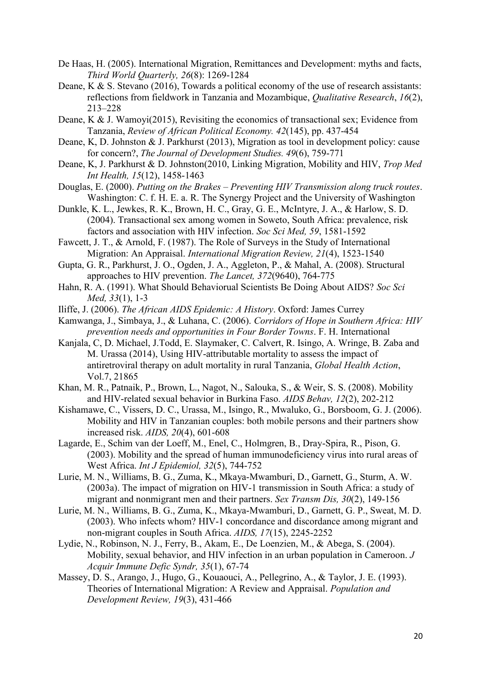- De Haas, H. (2005). International Migration, Remittances and Development: myths and facts, *Third World Quarterly, 26*(8): 1269-1284
- Deane, K & S. Stevano (2016), Towards a political economy of the use of research assistants: reflections from fieldwork in Tanzania and Mozambique, *Qualitative Research*, *16*(2), 213–228
- Deane, K & J. Wamoyi(2015), Revisiting the economics of transactional sex; Evidence from Tanzania, *Review of African Political Economy. 42*(145), pp. 437-454
- Deane, K, D. Johnston & J. Parkhurst (2013), Migration as tool in development policy: cause for concern?, *The Journal of Development Studies. 49*(6), 759-771
- Deane, K, J. Parkhurst & D. Johnston(2010, Linking Migration, Mobility and HIV, *Trop Med Int Health, 15*(12), 1458-1463
- Douglas, E. (2000). *Putting on the Brakes – Preventing HIV Transmission along truck routes*. Washington: C. f. H. E. a. R. The Synergy Project and the University of Washington
- Dunkle, K. L., Jewkes, R. K., Brown, H. C., Gray, G. E., McIntyre, J. A., & Harlow, S. D. (2004). Transactional sex among women in Soweto, South Africa: prevalence, risk factors and association with HIV infection. *Soc Sci Med, 59*, 1581-1592
- Fawcett, J. T., & Arnold, F. (1987). The Role of Surveys in the Study of International Migration: An Appraisal. *International Migration Review, 21*(4), 1523-1540
- Gupta, G. R., Parkhurst, J. O., Ogden, J. A., Aggleton, P., & Mahal, A. (2008). Structural approaches to HIV prevention. *The Lancet, 372*(9640), 764-775
- Hahn, R. A. (1991). What Should Behaviorual Scientists Be Doing About AIDS? *Soc Sci Med, 33*(1), 1-3
- Iliffe, J. (2006). *The African AIDS Epidemic: A History*. Oxford: James Currey
- Kamwanga, J., Simbaya, J., & Luhana, C. (2006). *Corridors of Hope in Southern Africa: HIV prevention needs and opportunities in Four Border Towns*. F. H. International
- Kanjala, C, D. Michael, J.Todd, E. Slaymaker, C. Calvert, R. Isingo, A. Wringe, B. Zaba and M. Urassa (2014), Using HIV-attributable mortality to assess the impact of antiretroviral therapy on adult mortality in rural Tanzania, *Global Health Action*, Vol.7, 21865
- Khan, M. R., Patnaik, P., Brown, L., Nagot, N., Salouka, S., & Weir, S. S. (2008). Mobility and HIV-related sexual behavior in Burkina Faso. *AIDS Behav, 12*(2), 202-212
- Kishamawe, C., Vissers, D. C., Urassa, M., Isingo, R., Mwaluko, G., Borsboom, G. J. (2006). Mobility and HIV in Tanzanian couples: both mobile persons and their partners show increased risk. *AIDS, 20*(4), 601-608
- Lagarde, E., Schim van der Loeff, M., Enel, C., Holmgren, B., Dray-Spira, R., Pison, G. (2003). Mobility and the spread of human immunodeficiency virus into rural areas of West Africa. *Int J Epidemiol, 32*(5), 744-752
- Lurie, M. N., Williams, B. G., Zuma, K., Mkaya-Mwamburi, D., Garnett, G., Sturm, A. W. (2003a). The impact of migration on HIV-1 transmission in South Africa: a study of migrant and nonmigrant men and their partners. *Sex Transm Dis, 30*(2), 149-156
- Lurie, M. N., Williams, B. G., Zuma, K., Mkaya-Mwamburi, D., Garnett, G. P., Sweat, M. D. (2003). Who infects whom? HIV-1 concordance and discordance among migrant and non-migrant couples in South Africa. *AIDS, 17*(15), 2245-2252
- Lydie, N., Robinson, N. J., Ferry, B., Akam, E., De Loenzien, M., & Abega, S. (2004). Mobility, sexual behavior, and HIV infection in an urban population in Cameroon. *J Acquir Immune Defic Syndr, 35*(1), 67-74
- Massey, D. S., Arango, J., Hugo, G., Kouaouci, A., Pellegrino, A., & Taylor, J. E. (1993). Theories of International Migration: A Review and Appraisal. *Population and Development Review, 19*(3), 431-466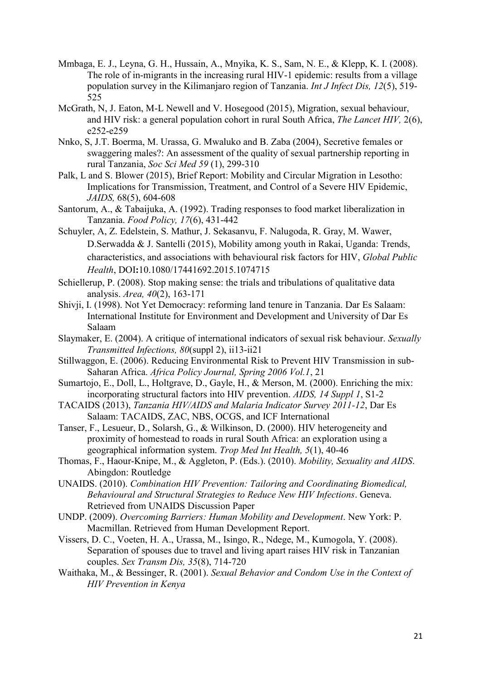- Mmbaga, E. J., Leyna, G. H., Hussain, A., Mnyika, K. S., Sam, N. E., & Klepp, K. I. (2008). The role of in-migrants in the increasing rural HIV-1 epidemic: results from a village population survey in the Kilimanjaro region of Tanzania. *Int J Infect Dis, 12*(5), 519- 525
- McGrath, N, J. Eaton, M-L Newell and V. Hosegood (2015), Migration, sexual behaviour, and HIV risk: a general population cohort in rural South Africa, *The Lancet HIV,* 2(6), e252-e259
- Nnko, S, J.T. Boerma, M. Urassa, G. Mwaluko and B. Zaba (2004), Secretive females or swaggering males?: An assessment of the quality of sexual partnership reporting in rural Tanzania, *Soc Sci Med 59* (1), 299-310
- Palk, L and S. Blower (2015), Brief Report: Mobility and Circular Migration in Lesotho: Implications for Transmission, Treatment, and Control of a Severe HIV Epidemic, *JAIDS,* 68(5), 604-608
- Santorum, A., & Tabaijuka, A. (1992). Trading responses to food market liberalization in Tanzania. *Food Policy, 17*(6), 431-442
- Schuyler, A, Z. Edelstein, S. Mathur, J. Sekasanvu, F. Nalugoda, R. Gray, M. Wawer, D.Serwadda & J. Santelli (2015), Mobility among youth in Rakai, Uganda: Trends, characteristics, and associations with behavioural risk factors for HIV, *Global Public Health*, DOI**:**10.1080/17441692.2015.1074715
- Schiellerup, P. (2008). Stop making sense: the trials and tribulations of qualitative data analysis. *Area, 40*(2), 163-171
- Shivji, I. (1998). Not Yet Democracy: reforming land tenure in Tanzania. Dar Es Salaam: International Institute for Environment and Development and University of Dar Es Salaam
- Slaymaker, E. (2004). A critique of international indicators of sexual risk behaviour. *Sexually Transmitted Infections, 80*(suppl 2), ii13-ii21
- Stillwaggon, E. (2006). Reducing Environmental Risk to Prevent HIV Transmission in sub-Saharan Africa. *Africa Policy Journal, Spring 2006 Vol.1*, 21
- Sumartojo, E., Doll, L., Holtgrave, D., Gayle, H., & Merson, M. (2000). Enriching the mix: incorporating structural factors into HIV prevention. *AIDS, 14 Suppl 1*, S1-2
- TACAIDS (2013), *Tanzania HIV/AIDS and Malaria Indicator Survey 2011-12*, Dar Es Salaam: TACAIDS, ZAC, NBS, OCGS, and ICF International
- Tanser, F., Lesueur, D., Solarsh, G., & Wilkinson, D. (2000). HIV heterogeneity and proximity of homestead to roads in rural South Africa: an exploration using a geographical information system. *Trop Med Int Health, 5*(1), 40-46
- Thomas, F., Haour-Knipe, M., & Aggleton, P. (Eds.). (2010). *Mobility, Sexuality and AIDS*. Abingdon: Routledge
- UNAIDS. (2010). *Combination HIV Prevention: Tailoring and Coordinating Biomedical, Behavioural and Structural Strategies to Reduce New HIV Infections*. Geneva. Retrieved from UNAIDS Discussion Paper
- UNDP. (2009). *Overcoming Barriers: Human Mobility and Development*. New York: P. Macmillan. Retrieved from Human Development Report.
- Vissers, D. C., Voeten, H. A., Urassa, M., Isingo, R., Ndege, M., Kumogola, Y. (2008). Separation of spouses due to travel and living apart raises HIV risk in Tanzanian couples. *Sex Transm Dis, 35*(8), 714-720
- Waithaka, M., & Bessinger, R. (2001). *Sexual Behavior and Condom Use in the Context of HIV Prevention in Kenya*